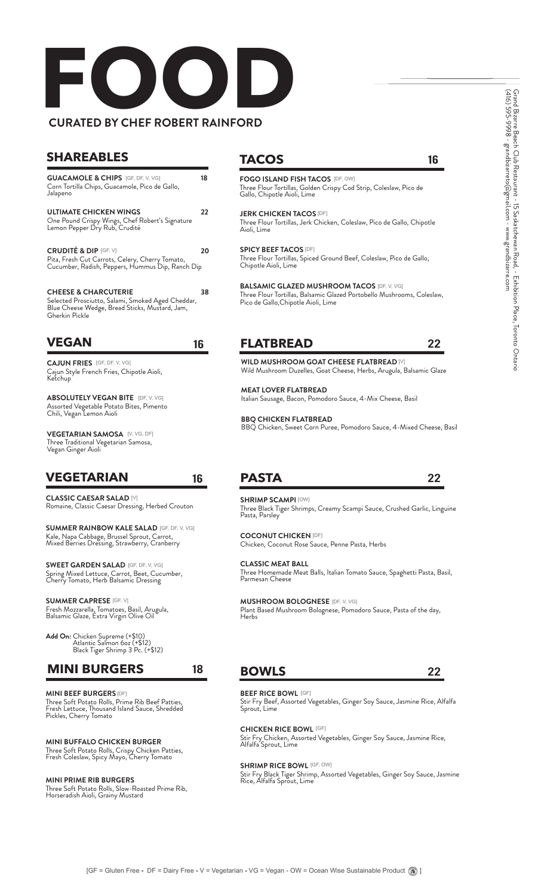# **FOOD BY CHEF ROBERT RAINFORD**

### **SHAREABLES TACOS**

**GUACAMOLE & CHIPS** [GF, DF, V, VG] **18** Corn Tortilla Chips, Guacamole, Pico de Gallo, Jalapeno

**22 ULTIMATE CHICKEN WINGS** One Pound Crispy Wings, Chef Robert's Signature Lemon Pepper Dry Rub, Crudité

**20 CRUDITÉ & DIP** [GF, V] Pita, Fresh Cut Carrots, Celery, Cherry Tomato, Cucumber, Radish, Peppers, Hummus Dip, Ranch Dip

**38 CHEESE & CHARCUTERIE** Selected Prosciutto, Salami, Smoked Aged Cheddar, Blue Cheese Wedge, Bread Sticks, Mustard, Jam, Gherkin Pickle

### **VEGAN** 16

**CAJUN FRIES** [GF, DF, V, VG] Cajun Style French Fries, Chipotle Aioli, Ketchup

**ABSOLUTELY VEGAN BITE** [DF, V, VG] Assorted Vegetable Potato Bites, Pimento Chili, Vegan Lemon Aioli

**VEGETARIAN SAMOSA** [V, VG, DF] Three Traditional Vegetarian Samosa, Vegan Ginger Aioli

## **VEGETARIAN**

**CLASSIC CAESAR SALAD** [V] Romaine, Classic Caesar Dressing, Herbed Crouton

**SUMMER RAINBOW KALE SALAD** [GF, DF, V, VG] Kale, Napa Cabbage, Brussel Sprout, Carrot, Mixed Berries Dressing, Strawberry, Cranberry

**SWEET GARDEN SALAD** [GF, DF, V, VG] Spring Mixed Lettuce, Carrot, Beet, Cucumber, Cherry Tomato, Herb Balsamic Dressing

**SUMMER CAPRESE** [GF, V] Fresh Mozzarella, Tomatoes, Basil, Arugula, Balsamic Glaze, Extra Virgin Olive Oil

**Add On:** Chicken Supreme (+\$10) Atlantic Salmon 6oz (+\$12) Black Tiger Shrimp 3 Pc. (+\$12)

#### **MINI BURGERS**

**MINI BEEF BURGERS** [DF] Three Soft Potato Rolls, Prime Rib Beef Patties, Fresh Lettuce, Thousand Island Sauce, Shredded Pickles, Cherry Tomato

**MINI BUFFALO CHICKEN BURGER** Three Soft Potato Rolls, Crispy Chicken Patties, Fresh Coleslaw, Spicy Mayo, Cherry Tomato

#### **MINI PRIME RIB BURGERS**

Three Soft Potato Rolls, Slow-Roasted Prime Rib, Horseradish Aioli, Grainy Mustard

16

**FOGO ISLAND FISH TACOS** [DF, OW] Three Flour Tortillas, Golden Crispy Cod Strip, Coleslaw, Pico de Gallo, Chipotle Aioli, Lime

**JERK CHICKEN TACOS** [DF] Three Flour Tortillas, Jerk Chicken, Coleslaw, Pico de Gallo, Chipotle Aioli, Lime

**SPICY BEEF TACOS** [DF] Three Flour Tortillas, Spiced Ground Beef, Coleslaw, Pico de Gallo, Chipotle Aioli, Lime

**BALSAMIC GLAZED MUSHROOM TACOS** [DF, V, VG] Three Flour Tortillas, Balsamic Glazed Portobello Mushrooms, Coleslaw, Pico de Gallo,Chipotle Aioli, Lime

### **FLATBREAD**

22

22

#### **WILD MUSHROOM GOAT CHEESE FLATBREAD** [V] Wild Mushroom Duzelles, Goat Cheese, Herbs, Arugula, Balsamic Glaze

**MEAT LOVER FLATBREAD** Italian Sausage, Bacon, Pomodoro Sauce, 4-Mix Cheese, Basil

**BBQ CHICKEN FLATBREAD** BBQ Chicken, Sweet Corn Puree, Pomodoro Sauce, 4-Mixed Cheese, Basil

## **PASTA**

16

18

**SHRIMP SCAMPI** [OW] Three Black Tiger Shrimps, Creamy Scampi Sauce, Crushed Garlic, Linguine Pasta, Parsley

**COCONUT CHICKEN** [DF] Chicken, Coconut Rose Sauce, Penne Pasta, Herbs

**CLASSIC MEAT BALL** Three Homemade Meat Balls, Italian Tomato Sauce, Spaghetti Pasta, Basil, Parmesan Cheese

**MUSHROOM BOLOGNESE** [DF, V, VG]

Plant Based Mushroom Bolognese, Pomodoro Sauce, Pasta of the day, Herbs

#### **BOWLS**

22

**BEEF RICE BOWL** [GF]

Stir Fry Beef, Assorted Vegetables, Ginger Soy Sauce, Jasmine Rice, Alfalfa Sprout, Lime

**CHICKEN RICE BOWL CHICKEN RICE BOWL [GF]** 

Stir Fry Chicken, Assorted Vegetables, Ginger Soy Sauce, Jasmine Rice, Alfalfa Sprout, Lime

**SHRIMP RICE BOWL** [GF, OW]

Stir Fry Black Tiger Shrimp, Assorted Vegetables, Ginger Soy Sauce, Jasmine Rice, Alfalfa Sprout, Lime